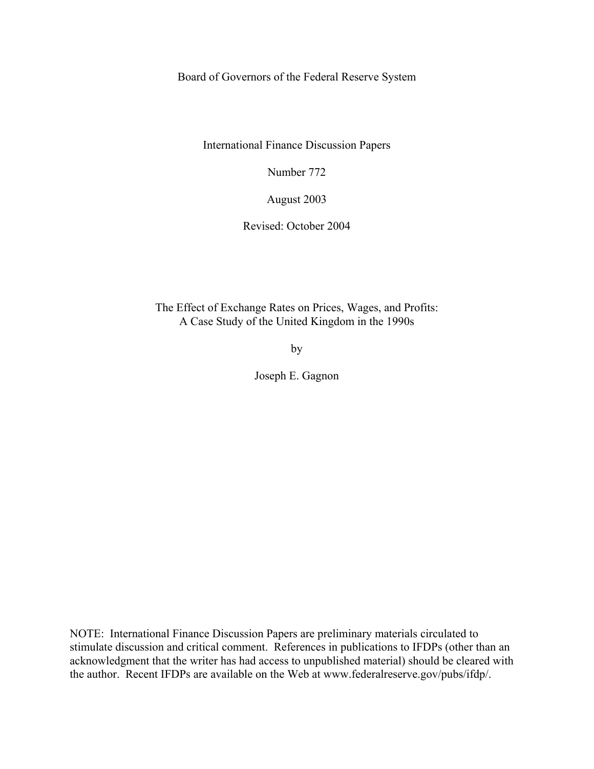Board of Governors of the Federal Reserve System

International Finance Discussion Papers

Number 772

August 2003

Revised: October 2004

The Effect of Exchange Rates on Prices, Wages, and Profits: A Case Study of the United Kingdom in the 1990s

by

Joseph E. Gagnon

NOTE: International Finance Discussion Papers are preliminary materials circulated to stimulate discussion and critical comment. References in publications to IFDPs (other than an acknowledgment that the writer has had access to unpublished material) should be cleared with the author. Recent IFDPs are available on the Web at www.federalreserve.gov/pubs/ifdp/.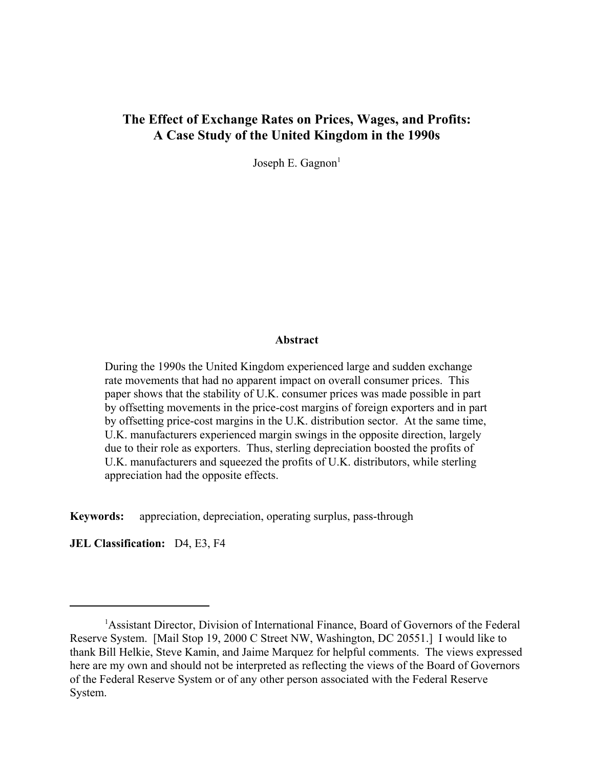# **The Effect of Exchange Rates on Prices, Wages, and Profits: A Case Study of the United Kingdom in the 1990s**

Joseph E. Gagnon $<sup>1</sup>$ </sup>

# **Abstract**

During the 1990s the United Kingdom experienced large and sudden exchange rate movements that had no apparent impact on overall consumer prices. This paper shows that the stability of U.K. consumer prices was made possible in part by offsetting movements in the price-cost margins of foreign exporters and in part by offsetting price-cost margins in the U.K. distribution sector. At the same time, U.K. manufacturers experienced margin swings in the opposite direction, largely due to their role as exporters. Thus, sterling depreciation boosted the profits of U.K. manufacturers and squeezed the profits of U.K. distributors, while sterling appreciation had the opposite effects.

**Keywords:** appreciation, depreciation, operating surplus, pass-through

**JEL Classification:** D4, E3, F4

<sup>&</sup>lt;sup>1</sup>Assistant Director, Division of International Finance, Board of Governors of the Federal Reserve System. [Mail Stop 19, 2000 C Street NW, Washington, DC 20551.] I would like to thank Bill Helkie, Steve Kamin, and Jaime Marquez for helpful comments. The views expressed here are my own and should not be interpreted as reflecting the views of the Board of Governors of the Federal Reserve System or of any other person associated with the Federal Reserve System.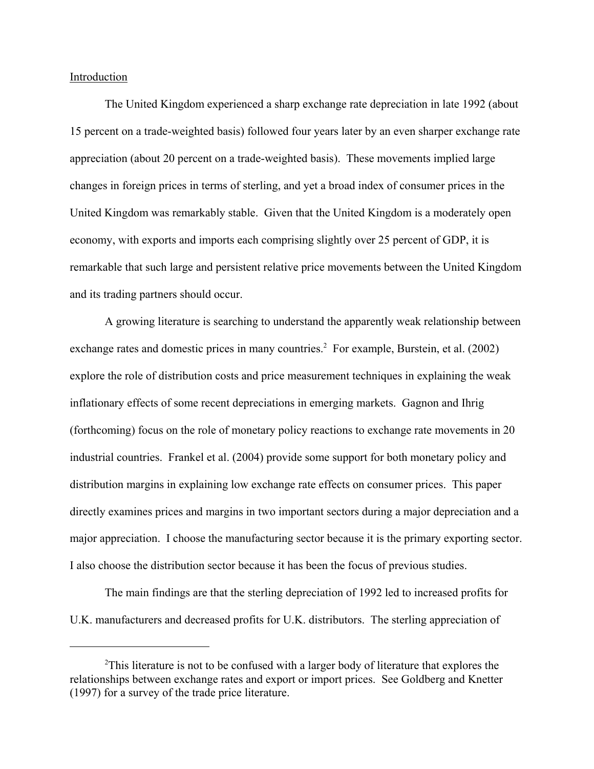Introduction

The United Kingdom experienced a sharp exchange rate depreciation in late 1992 (about 15 percent on a trade-weighted basis) followed four years later by an even sharper exchange rate appreciation (about 20 percent on a trade-weighted basis). These movements implied large changes in foreign prices in terms of sterling, and yet a broad index of consumer prices in the United Kingdom was remarkably stable. Given that the United Kingdom is a moderately open economy, with exports and imports each comprising slightly over 25 percent of GDP, it is remarkable that such large and persistent relative price movements between the United Kingdom and its trading partners should occur.

A growing literature is searching to understand the apparently weak relationship between exchange rates and domestic prices in many countries.<sup>2</sup> For example, Burstein, et al. (2002) explore the role of distribution costs and price measurement techniques in explaining the weak inflationary effects of some recent depreciations in emerging markets. Gagnon and Ihrig (forthcoming) focus on the role of monetary policy reactions to exchange rate movements in 20 industrial countries. Frankel et al. (2004) provide some support for both monetary policy and distribution margins in explaining low exchange rate effects on consumer prices. This paper directly examines prices and margins in two important sectors during a major depreciation and a major appreciation. I choose the manufacturing sector because it is the primary exporting sector. I also choose the distribution sector because it has been the focus of previous studies.

The main findings are that the sterling depreciation of 1992 led to increased profits for U.K. manufacturers and decreased profits for U.K. distributors. The sterling appreciation of

<sup>&</sup>lt;sup>2</sup>This literature is not to be confused with a larger body of literature that explores the relationships between exchange rates and export or import prices. See Goldberg and Knetter (1997) for a survey of the trade price literature.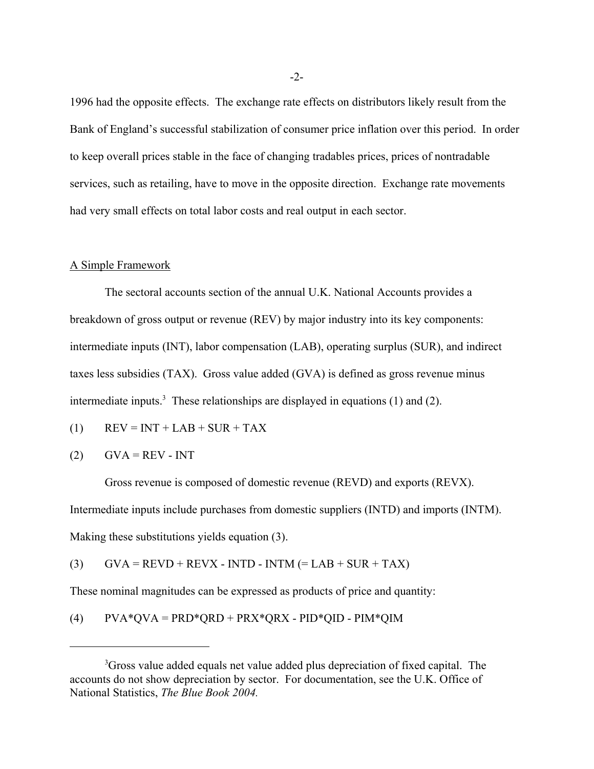1996 had the opposite effects. The exchange rate effects on distributors likely result from the Bank of England's successful stabilization of consumer price inflation over this period. In order to keep overall prices stable in the face of changing tradables prices, prices of nontradable services, such as retailing, have to move in the opposite direction. Exchange rate movements had very small effects on total labor costs and real output in each sector.

# A Simple Framework

The sectoral accounts section of the annual U.K. National Accounts provides a breakdown of gross output or revenue (REV) by major industry into its key components: intermediate inputs (INT), labor compensation (LAB), operating surplus (SUR), and indirect taxes less subsidies (TAX). Gross value added (GVA) is defined as gross revenue minus intermediate inputs.<sup>3</sup> These relationships are displayed in equations (1) and (2).

$$
(1) \qquad \text{REV} = \text{INT} + \text{LAB} + \text{ SUR} + \text{TAX}
$$

$$
(2) \qquad \text{GVA} = \text{REV} - \text{INT}
$$

Gross revenue is composed of domestic revenue (REVD) and exports (REVX). Intermediate inputs include purchases from domestic suppliers (INTD) and imports (INTM). Making these substitutions yields equation (3).

(3)  $GVA = REVD + REVX - INTD - INTM (= LAB + SUR + TAX)$ 

These nominal magnitudes can be expressed as products of price and quantity:

(4)  $PVA*QVA = PRD*QRD + PRX*QRX - PID*QID - PIM*QIM$ 

<sup>&</sup>lt;sup>3</sup>Gross value added equals net value added plus depreciation of fixed capital. The accounts do not show depreciation by sector. For documentation, see the U.K. Office of National Statistics, *The Blue Book 2004.*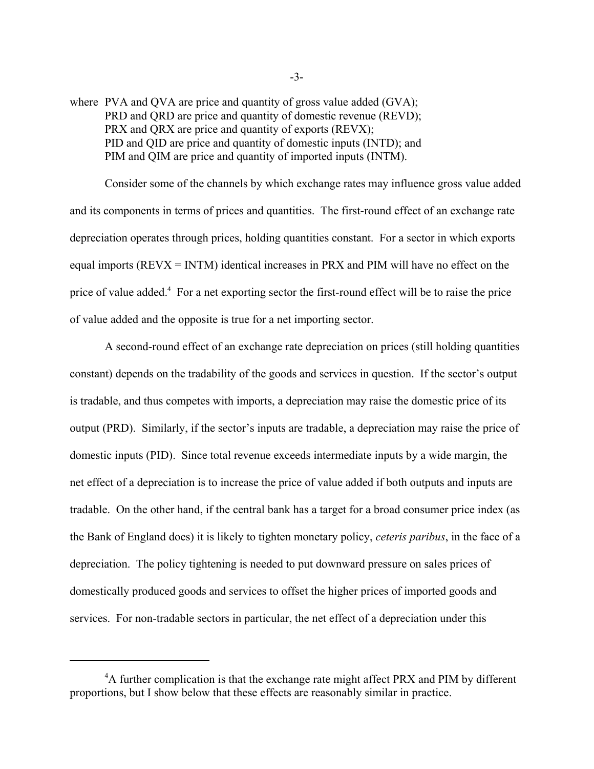where PVA and OVA are price and quantity of gross value added (GVA); PRD and QRD are price and quantity of domestic revenue (REVD); PRX and QRX are price and quantity of exports (REVX); PID and QID are price and quantity of domestic inputs (INTD); and PIM and QIM are price and quantity of imported inputs (INTM).

Consider some of the channels by which exchange rates may influence gross value added and its components in terms of prices and quantities. The first-round effect of an exchange rate depreciation operates through prices, holding quantities constant. For a sector in which exports equal imports (REVX = INTM) identical increases in PRX and PIM will have no effect on the price of value added.<sup>4</sup> For a net exporting sector the first-round effect will be to raise the price of value added and the opposite is true for a net importing sector.

A second-round effect of an exchange rate depreciation on prices (still holding quantities constant) depends on the tradability of the goods and services in question. If the sector's output is tradable, and thus competes with imports, a depreciation may raise the domestic price of its output (PRD). Similarly, if the sector's inputs are tradable, a depreciation may raise the price of domestic inputs (PID). Since total revenue exceeds intermediate inputs by a wide margin, the net effect of a depreciation is to increase the price of value added if both outputs and inputs are tradable. On the other hand, if the central bank has a target for a broad consumer price index (as the Bank of England does) it is likely to tighten monetary policy, *ceteris paribus*, in the face of a depreciation. The policy tightening is needed to put downward pressure on sales prices of domestically produced goods and services to offset the higher prices of imported goods and services. For non-tradable sectors in particular, the net effect of a depreciation under this

<sup>&</sup>lt;sup>4</sup>A further complication is that the exchange rate might affect PRX and PIM by different proportions, but I show below that these effects are reasonably similar in practice.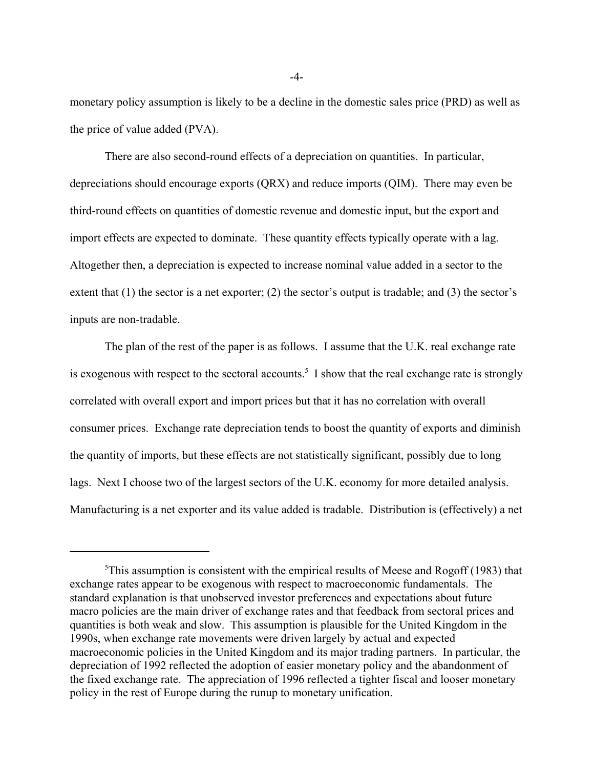monetary policy assumption is likely to be a decline in the domestic sales price (PRD) as well as the price of value added (PVA).

There are also second-round effects of a depreciation on quantities. In particular, depreciations should encourage exports (QRX) and reduce imports (QIM). There may even be third-round effects on quantities of domestic revenue and domestic input, but the export and import effects are expected to dominate. These quantity effects typically operate with a lag. Altogether then, a depreciation is expected to increase nominal value added in a sector to the extent that (1) the sector is a net exporter; (2) the sector's output is tradable; and (3) the sector's inputs are non-tradable.

The plan of the rest of the paper is as follows. I assume that the U.K. real exchange rate is exogenous with respect to the sectoral accounts.<sup>5</sup> I show that the real exchange rate is strongly correlated with overall export and import prices but that it has no correlation with overall consumer prices. Exchange rate depreciation tends to boost the quantity of exports and diminish the quantity of imports, but these effects are not statistically significant, possibly due to long lags. Next I choose two of the largest sectors of the U.K. economy for more detailed analysis. Manufacturing is a net exporter and its value added is tradable. Distribution is (effectively) a net

-4-

<sup>&</sup>lt;sup>5</sup>This assumption is consistent with the empirical results of Meese and Rogoff (1983) that exchange rates appear to be exogenous with respect to macroeconomic fundamentals. The standard explanation is that unobserved investor preferences and expectations about future macro policies are the main driver of exchange rates and that feedback from sectoral prices and quantities is both weak and slow. This assumption is plausible for the United Kingdom in the 1990s, when exchange rate movements were driven largely by actual and expected macroeconomic policies in the United Kingdom and its major trading partners. In particular, the depreciation of 1992 reflected the adoption of easier monetary policy and the abandonment of the fixed exchange rate. The appreciation of 1996 reflected a tighter fiscal and looser monetary policy in the rest of Europe during the runup to monetary unification.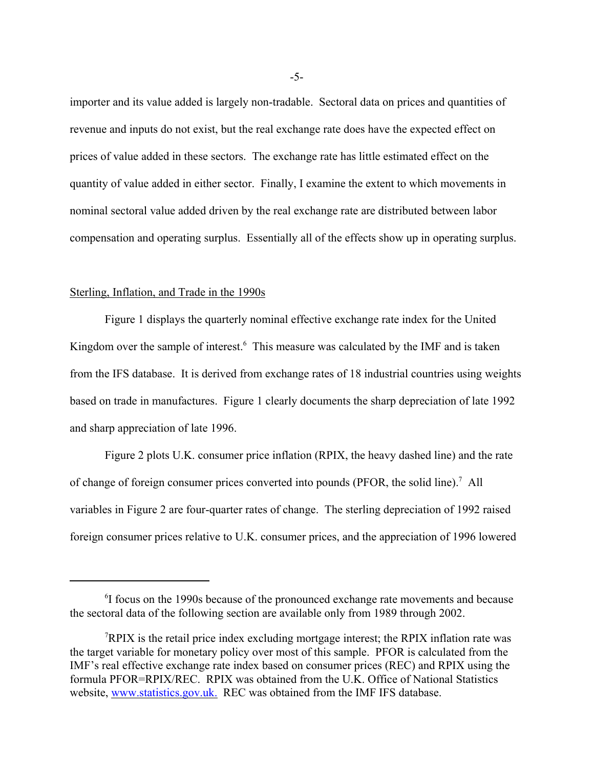importer and its value added is largely non-tradable. Sectoral data on prices and quantities of revenue and inputs do not exist, but the real exchange rate does have the expected effect on prices of value added in these sectors. The exchange rate has little estimated effect on the quantity of value added in either sector. Finally, I examine the extent to which movements in nominal sectoral value added driven by the real exchange rate are distributed between labor compensation and operating surplus. Essentially all of the effects show up in operating surplus.

### Sterling, Inflation, and Trade in the 1990s

Figure 1 displays the quarterly nominal effective exchange rate index for the United Kingdom over the sample of interest.<sup>6</sup> This measure was calculated by the IMF and is taken from the IFS database. It is derived from exchange rates of 18 industrial countries using weights based on trade in manufactures. Figure 1 clearly documents the sharp depreciation of late 1992 and sharp appreciation of late 1996.

Figure 2 plots U.K. consumer price inflation (RPIX, the heavy dashed line) and the rate of change of foreign consumer prices converted into pounds (PFOR, the solid line).<sup>7</sup> All variables in Figure 2 are four-quarter rates of change. The sterling depreciation of 1992 raised foreign consumer prices relative to U.K. consumer prices, and the appreciation of 1996 lowered

-5-

<sup>&</sup>lt;sup>6</sup>I focus on the 1990s because of the pronounced exchange rate movements and because the sectoral data of the following section are available only from 1989 through 2002.

<sup>7</sup> RPIX is the retail price index excluding mortgage interest; the RPIX inflation rate was the target variable for monetary policy over most of this sample. PFOR is calculated from the IMF's real effective exchange rate index based on consumer prices (REC) and RPIX using the formula PFOR=RPIX/REC. RPIX was obtained from the U.K. Office of National Statistics website, www.statistics.gov.uk. REC was obtained from the IMF IFS database.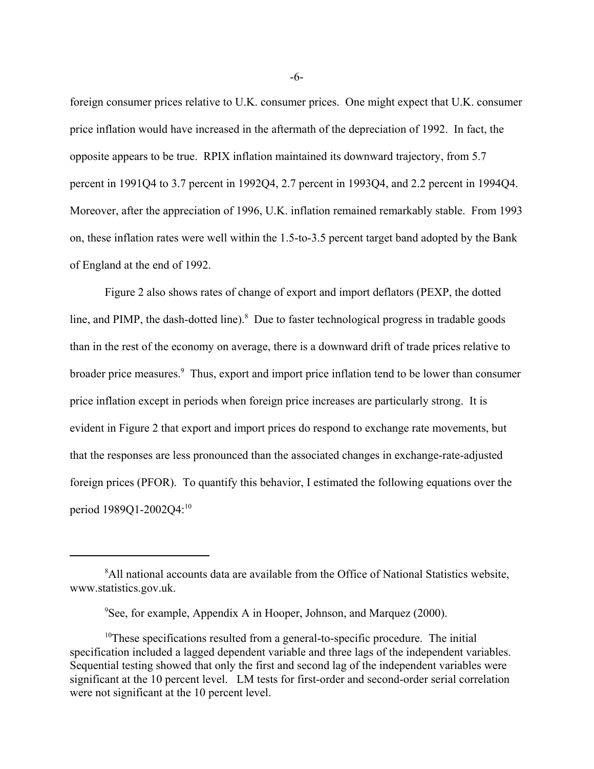foreign consumer prices relative to U.K. consumer prices. One might expect that U.K. consumer price inflation would have increased in the aftermath of the depreciation of 1992. In fact, the opposite appears to be true. RPIX inflation maintained its downward trajectory, from 5.7 percent in 1991Q4 to 3.7 percent in 1992Q4, 2.7 percent in 1993Q4, and 2.2 percent in 1994Q4. Moreover, after the appreciation of 1996, U.K. inflation remained remarkably stable. From 1993 on, these inflation rates were well within the 1.5-to-3.5 percent target band adopted by the Bank of England at the end of 1992.

Figure 2 also shows rates of change of export and import deflators (PEXP, the dotted line, and PIMP, the dash-dotted line).<sup>8</sup> Due to faster technological progress in tradable goods than in the rest of the economy on average, there is a downward drift of trade prices relative to broader price measures.<sup>9</sup> Thus, export and import price inflation tend to be lower than consumer price inflation except in periods when foreign price increases are particularly strong. It is evident in Figure 2 that export and import prices do respond to exchange rate movements, but that the responses are less pronounced than the associated changes in exchange-rate-adjusted foreign prices (PFOR). To quantify this behavior, I estimated the following equations over the period 1989Q1-2002Q4:<sup>10</sup>

-6-

<sup>&</sup>lt;sup>8</sup>All national accounts data are available from the Office of National Statistics website, www.statistics.gov.uk.

<sup>9</sup> See, for example, Appendix A in Hooper, Johnson, and Marquez (2000).

 $10$ These specifications resulted from a general-to-specific procedure. The initial specification included a lagged dependent variable and three lags of the independent variables. Sequential testing showed that only the first and second lag of the independent variables were significant at the 10 percent level. LM tests for first-order and second-order serial correlation were not significant at the 10 percent level.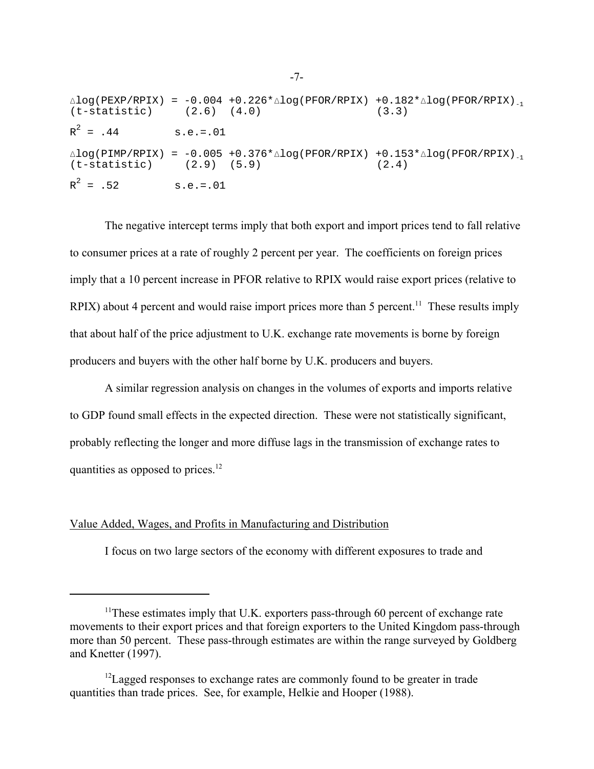|                      | $(t-statistic)$ $(2.6)$ $(4.0)$ $(3.3)$ | $\triangle$ log(PEXP/RPIX) = -0.004 +0.226* $\triangle$ log(PFOR/RPIX) +0.182* $\triangle$ log(PFOR/RPIX) <sub>-1</sub> |
|----------------------|-----------------------------------------|-------------------------------------------------------------------------------------------------------------------------|
| $R^2 = .44$ s.e.=.01 |                                         |                                                                                                                         |
|                      | $(t-statistic)$ $(2.9)$ $(5.9)$ $(2.4)$ | $\triangle$ log(PIMP/RPIX) = -0.005 +0.376* $\triangle$ log(PFOR/RPIX) +0.153* $\triangle$ log(PFOR/RPIX) <sub>-1</sub> |
| $R^2 = .52$ s.e.=.01 |                                         |                                                                                                                         |

The negative intercept terms imply that both export and import prices tend to fall relative to consumer prices at a rate of roughly 2 percent per year. The coefficients on foreign prices imply that a 10 percent increase in PFOR relative to RPIX would raise export prices (relative to RPIX) about 4 percent and would raise import prices more than 5 percent.<sup>11</sup> These results imply that about half of the price adjustment to U.K. exchange rate movements is borne by foreign producers and buyers with the other half borne by U.K. producers and buyers.

A similar regression analysis on changes in the volumes of exports and imports relative to GDP found small effects in the expected direction. These were not statistically significant, probably reflecting the longer and more diffuse lags in the transmission of exchange rates to quantities as opposed to prices.<sup>12</sup>

# Value Added, Wages, and Profits in Manufacturing and Distribution

I focus on two large sectors of the economy with different exposures to trade and

<sup>&</sup>lt;sup>11</sup>These estimates imply that U.K. exporters pass-through 60 percent of exchange rate movements to their export prices and that foreign exporters to the United Kingdom pass-through more than 50 percent. These pass-through estimates are within the range surveyed by Goldberg and Knetter (1997).

 $12$ Lagged responses to exchange rates are commonly found to be greater in trade quantities than trade prices. See, for example, Helkie and Hooper (1988).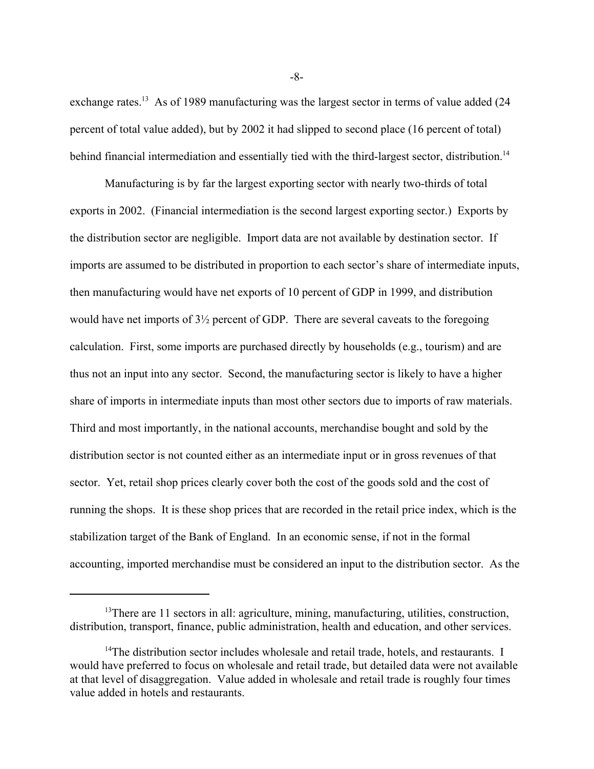exchange rates.<sup>13</sup> As of 1989 manufacturing was the largest sector in terms of value added (24) percent of total value added), but by 2002 it had slipped to second place (16 percent of total) behind financial intermediation and essentially tied with the third-largest sector, distribution.<sup>14</sup>

Manufacturing is by far the largest exporting sector with nearly two-thirds of total exports in 2002. (Financial intermediation is the second largest exporting sector.) Exports by the distribution sector are negligible. Import data are not available by destination sector. If imports are assumed to be distributed in proportion to each sector's share of intermediate inputs, then manufacturing would have net exports of 10 percent of GDP in 1999, and distribution would have net imports of 3½ percent of GDP. There are several caveats to the foregoing calculation. First, some imports are purchased directly by households (e.g., tourism) and are thus not an input into any sector. Second, the manufacturing sector is likely to have a higher share of imports in intermediate inputs than most other sectors due to imports of raw materials. Third and most importantly, in the national accounts, merchandise bought and sold by the distribution sector is not counted either as an intermediate input or in gross revenues of that sector. Yet, retail shop prices clearly cover both the cost of the goods sold and the cost of running the shops. It is these shop prices that are recorded in the retail price index, which is the stabilization target of the Bank of England. In an economic sense, if not in the formal accounting, imported merchandise must be considered an input to the distribution sector. As the

-8-

 $13$ There are 11 sectors in all: agriculture, mining, manufacturing, utilities, construction, distribution, transport, finance, public administration, health and education, and other services.

<sup>&</sup>lt;sup>14</sup>The distribution sector includes wholesale and retail trade, hotels, and restaurants. I would have preferred to focus on wholesale and retail trade, but detailed data were not available at that level of disaggregation. Value added in wholesale and retail trade is roughly four times value added in hotels and restaurants.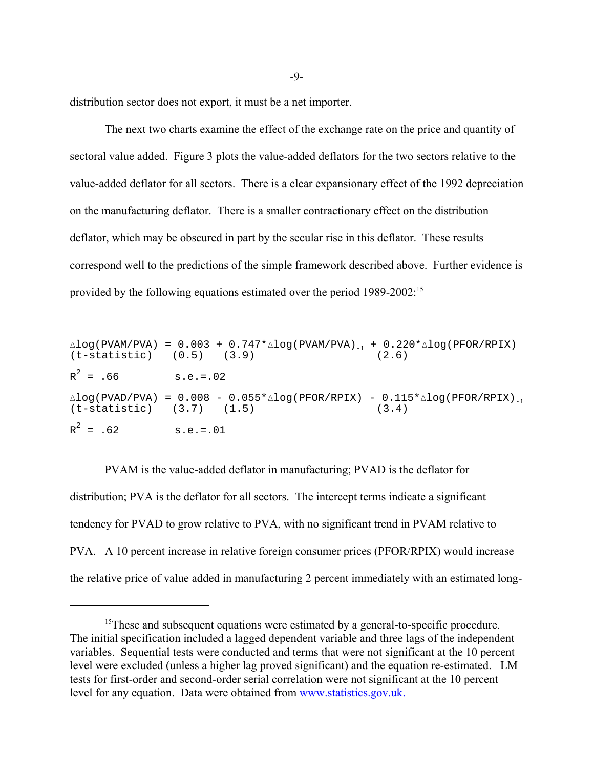distribution sector does not export, it must be a net importer.

The next two charts examine the effect of the exchange rate on the price and quantity of sectoral value added. Figure 3 plots the value-added deflators for the two sectors relative to the value-added deflator for all sectors. There is a clear expansionary effect of the 1992 depreciation on the manufacturing deflator. There is a smaller contractionary effect on the distribution deflator, which may be obscured in part by the secular rise in this deflator. These results correspond well to the predictions of the simple framework described above. Further evidence is provided by the following equations estimated over the period 1989-2002:15

|                                 | $\triangle$ log(PVAM/PVA) = 0.003 + 0.747* $\triangle$ log(PVAM/PVA) <sub>-1</sub> + 0.220* $\triangle$ log(PFOR/RPIX)<br>$(t-statistic)$ $(0.5)$ $(3.9)$ | (2.6) |
|---------------------------------|-----------------------------------------------------------------------------------------------------------------------------------------------------------|-------|
| $R^2 = .66$ s.e.=.02            |                                                                                                                                                           |       |
| $(t-statistic)$ $(3.7)$ $(1.5)$ | $\triangle$ log(PVAD/PVA) = 0.008 - 0.055* $\triangle$ log(PFOR/RPIX) - 0.115* $\triangle$ log(PFOR/RPIX) <sub>-1</sub><br>(3, 4)                         |       |
| $R^2 = .62$                     | $s.e. = .01$                                                                                                                                              |       |

PVAM is the value-added deflator in manufacturing; PVAD is the deflator for distribution; PVA is the deflator for all sectors. The intercept terms indicate a significant tendency for PVAD to grow relative to PVA, with no significant trend in PVAM relative to PVA. A 10 percent increase in relative foreign consumer prices (PFOR/RPIX) would increase the relative price of value added in manufacturing 2 percent immediately with an estimated long-

<sup>&</sup>lt;sup>15</sup>These and subsequent equations were estimated by a general-to-specific procedure. The initial specification included a lagged dependent variable and three lags of the independent variables. Sequential tests were conducted and terms that were not significant at the 10 percent level were excluded (unless a higher lag proved significant) and the equation re-estimated. LM tests for first-order and second-order serial correlation were not significant at the 10 percent level for any equation. Data were obtained from www.statistics.gov.uk.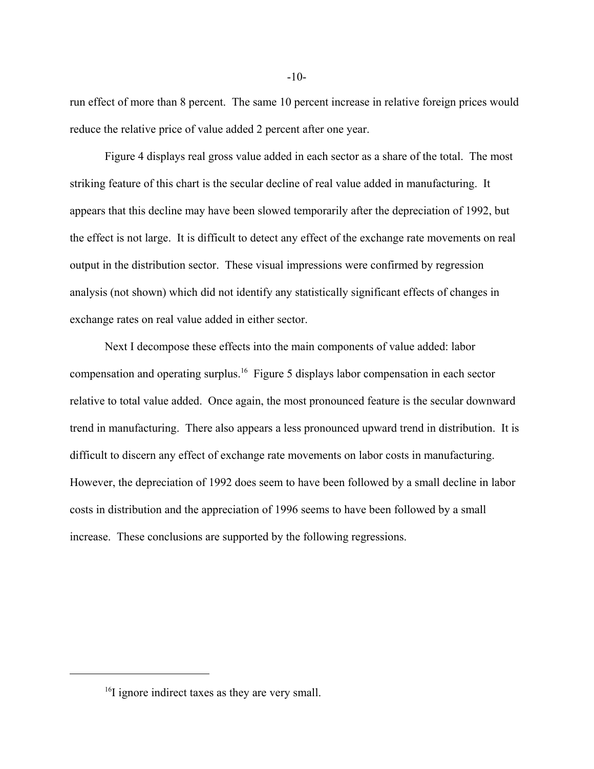run effect of more than 8 percent. The same 10 percent increase in relative foreign prices would reduce the relative price of value added 2 percent after one year.

Figure 4 displays real gross value added in each sector as a share of the total. The most striking feature of this chart is the secular decline of real value added in manufacturing. It appears that this decline may have been slowed temporarily after the depreciation of 1992, but the effect is not large. It is difficult to detect any effect of the exchange rate movements on real output in the distribution sector. These visual impressions were confirmed by regression analysis (not shown) which did not identify any statistically significant effects of changes in exchange rates on real value added in either sector.

Next I decompose these effects into the main components of value added: labor compensation and operating surplus.16 Figure 5 displays labor compensation in each sector relative to total value added. Once again, the most pronounced feature is the secular downward trend in manufacturing. There also appears a less pronounced upward trend in distribution. It is difficult to discern any effect of exchange rate movements on labor costs in manufacturing. However, the depreciation of 1992 does seem to have been followed by a small decline in labor costs in distribution and the appreciation of 1996 seems to have been followed by a small increase. These conclusions are supported by the following regressions.

 $-10-$ 

<sup>&</sup>lt;sup>16</sup>I ignore indirect taxes as they are very small.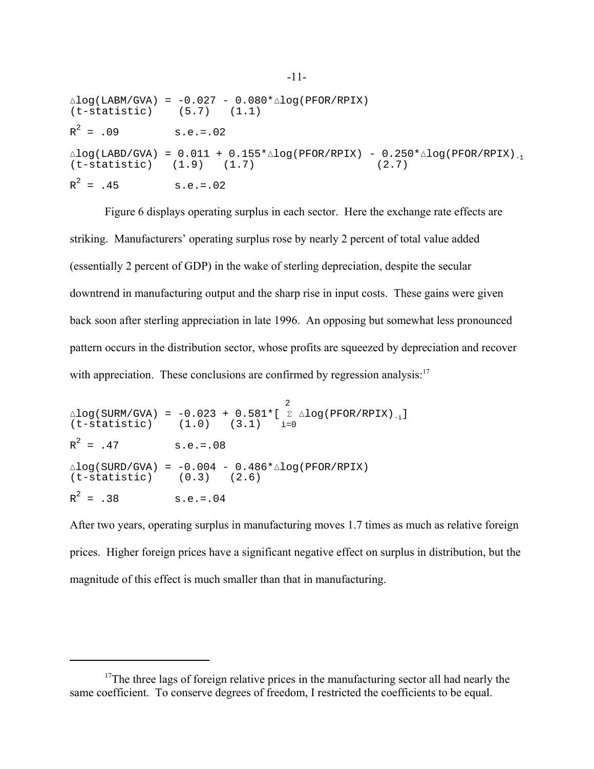| $(t-statistic)$ $(5.7)$ $(1.1)$ | $\triangle$ log(LABM/GVA) = -0.027 - 0.080* $\triangle$ log(PFOR/RPIX)                                                            |
|---------------------------------|-----------------------------------------------------------------------------------------------------------------------------------|
| $R^2 = .09$                     | $s.e. = .02$                                                                                                                      |
| $(t-statistic)$ $(1.9)$ $(1.7)$ | $\triangle$ log(LABD/GVA) = 0.011 + 0.155* $\triangle$ log(PFOR/RPIX) - 0.250* $\triangle$ log(PFOR/RPIX) <sub>-1</sub><br>(2, 7) |
| $R^2 = .45$                     | $s.e.=.02$                                                                                                                        |

Figure 6 displays operating surplus in each sector. Here the exchange rate effects are striking. Manufacturers' operating surplus rose by nearly 2 percent of total value added (essentially 2 percent of GDP) in the wake of sterling depreciation, despite the secular downtrend in manufacturing output and the sharp rise in input costs. These gains were given back soon after sterling appreciation in late 1996. An opposing but somewhat less pronounced pattern occurs in the distribution sector, whose profits are squeezed by depreciation and recover with appreciation. These conclusions are confirmed by regression analysis: $17$ 

 2  $\Delta$ log(SURM/GVA) = -0.023 + 0.581\*[  $\Sigma$   $\Delta$ log(PFOR/RPIX)<sub>-i</sub>]<br>(t-statistic) (1.0) (3.1) i=0  $(t-statistic)$   $(1.0)$   $(3.1)$  $R^2$  $s.e.=.08$  $\Delta$ log(SURD/GVA) = -0.004 - 0.486\* $\Delta$ log(PFOR/RPIX)<br>(t-statistic) (0.3) (2.6)  $(0.3)$   $(2.6)$  $R^2$  $s.e. = .04$ 

After two years, operating surplus in manufacturing moves 1.7 times as much as relative foreign prices. Higher foreign prices have a significant negative effect on surplus in distribution, but the magnitude of this effect is much smaller than that in manufacturing.

<sup>&</sup>lt;sup>17</sup>The three lags of foreign relative prices in the manufacturing sector all had nearly the same coefficient. To conserve degrees of freedom, I restricted the coefficients to be equal.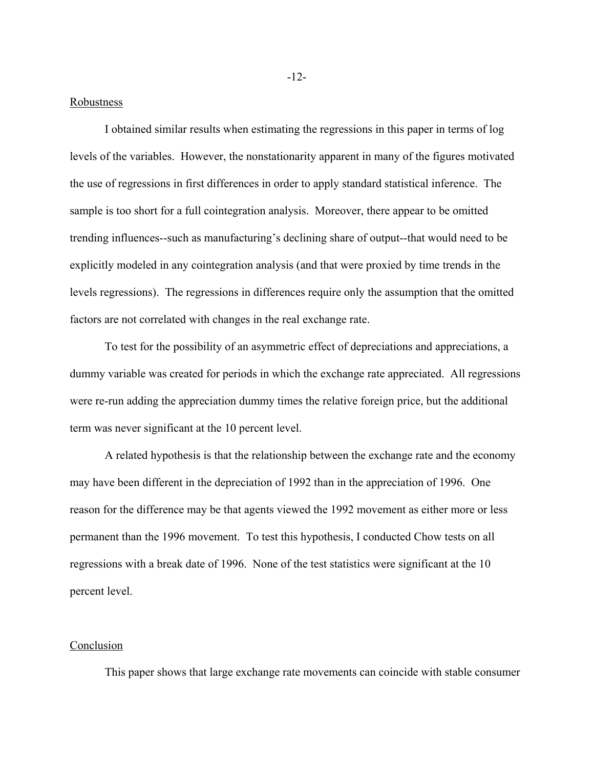### Robustness

I obtained similar results when estimating the regressions in this paper in terms of log levels of the variables. However, the nonstationarity apparent in many of the figures motivated the use of regressions in first differences in order to apply standard statistical inference. The sample is too short for a full cointegration analysis. Moreover, there appear to be omitted trending influences--such as manufacturing's declining share of output--that would need to be explicitly modeled in any cointegration analysis (and that were proxied by time trends in the levels regressions). The regressions in differences require only the assumption that the omitted factors are not correlated with changes in the real exchange rate.

To test for the possibility of an asymmetric effect of depreciations and appreciations, a dummy variable was created for periods in which the exchange rate appreciated. All regressions were re-run adding the appreciation dummy times the relative foreign price, but the additional term was never significant at the 10 percent level.

A related hypothesis is that the relationship between the exchange rate and the economy may have been different in the depreciation of 1992 than in the appreciation of 1996. One reason for the difference may be that agents viewed the 1992 movement as either more or less permanent than the 1996 movement. To test this hypothesis, I conducted Chow tests on all regressions with a break date of 1996. None of the test statistics were significant at the 10 percent level.

#### **Conclusion**

This paper shows that large exchange rate movements can coincide with stable consumer

-12-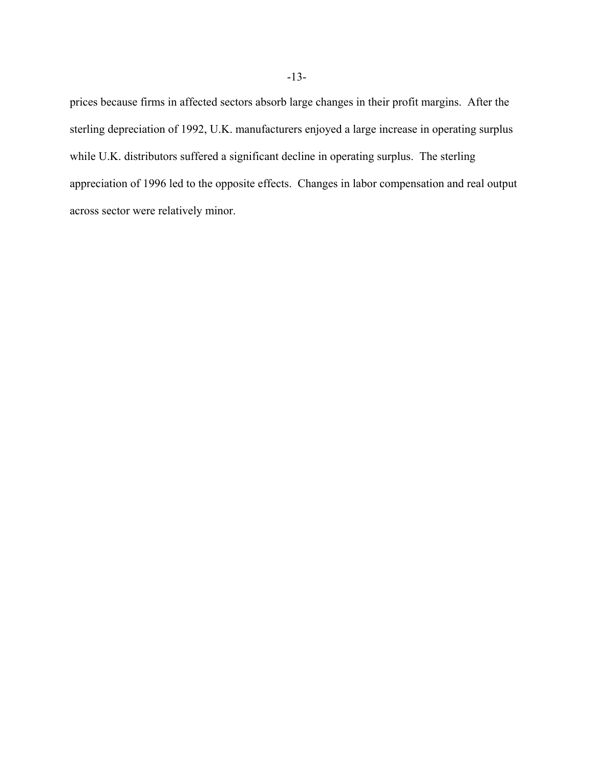prices because firms in affected sectors absorb large changes in their profit margins. After the sterling depreciation of 1992, U.K. manufacturers enjoyed a large increase in operating surplus while U.K. distributors suffered a significant decline in operating surplus. The sterling appreciation of 1996 led to the opposite effects. Changes in labor compensation and real output across sector were relatively minor.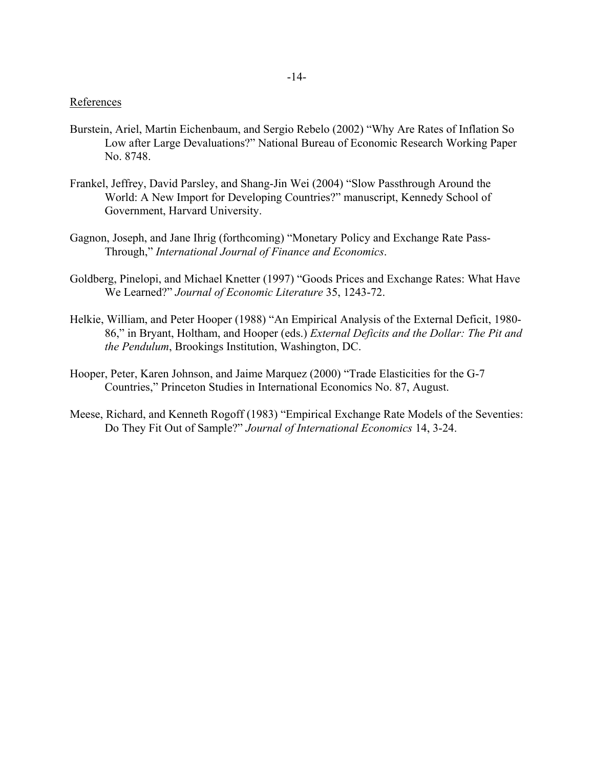# **References**

- Burstein, Ariel, Martin Eichenbaum, and Sergio Rebelo (2002) "Why Are Rates of Inflation So Low after Large Devaluations?" National Bureau of Economic Research Working Paper No. 8748.
- Frankel, Jeffrey, David Parsley, and Shang-Jin Wei (2004) "Slow Passthrough Around the World: A New Import for Developing Countries?" manuscript, Kennedy School of Government, Harvard University.
- Gagnon, Joseph, and Jane Ihrig (forthcoming) "Monetary Policy and Exchange Rate Pass-Through," *International Journal of Finance and Economics*.
- Goldberg, Pinelopi, and Michael Knetter (1997) "Goods Prices and Exchange Rates: What Have We Learned?" *Journal of Economic Literature* 35, 1243-72.
- Helkie, William, and Peter Hooper (1988) "An Empirical Analysis of the External Deficit, 1980- 86," in Bryant, Holtham, and Hooper (eds.) *External Deficits and the Dollar: The Pit and the Pendulum*, Brookings Institution, Washington, DC.
- Hooper, Peter, Karen Johnson, and Jaime Marquez (2000) "Trade Elasticities for the G-7 Countries," Princeton Studies in International Economics No. 87, August.
- Meese, Richard, and Kenneth Rogoff (1983) "Empirical Exchange Rate Models of the Seventies: Do They Fit Out of Sample?" *Journal of International Economics* 14, 3-24.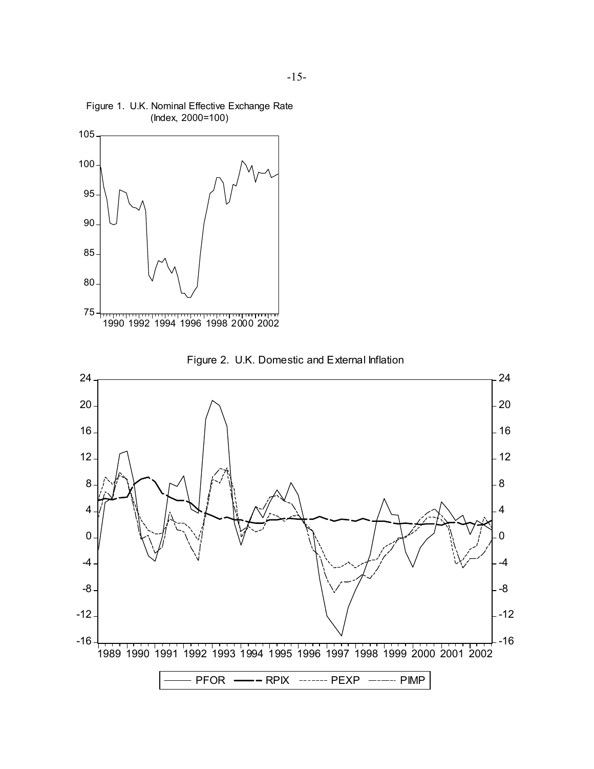

Figure 1. U.K. Nominal Effective Exchange Rate

-16  $-12.$ -8 -4 0 4 8 12 16 20 24 -16  $-12$ -8 -4 0 4 8  $\overline{\phantom{1}}$  12  $-16$  $-20$ 24 1989 1990 1991 1992 1993 1994 1995 1996 1997 1998 1999 2000 2001 2002 PFOR ------ PPIX ------- PEXP ------ PIMP



Figure 2. U.K. Domestic and External Inflation